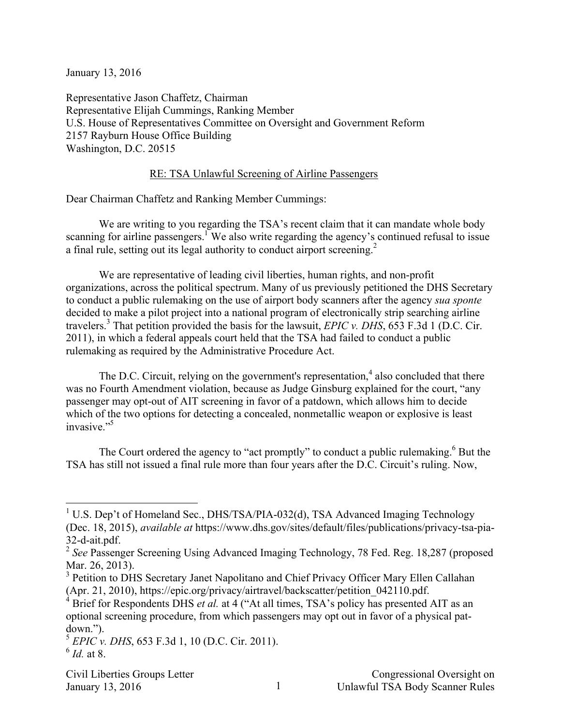January 13, 2016

Representative Jason Chaffetz, Chairman Representative Elijah Cummings, Ranking Member U.S. House of Representatives Committee on Oversight and Government Reform 2157 Rayburn House Office Building Washington, D.C. 20515

## RE: TSA Unlawful Screening of Airline Passengers

Dear Chairman Chaffetz and Ranking Member Cummings:

We are writing to you regarding the TSA's recent claim that it can mandate whole body scanning for airline passengers.<sup>1</sup> We also write regarding the agency's continued refusal to issue a final rule, setting out its legal authority to conduct airport screening.<sup>2</sup>

We are representative of leading civil liberties, human rights, and non-profit organizations, across the political spectrum. Many of us previously petitioned the DHS Secretary to conduct a public rulemaking on the use of airport body scanners after the agency *sua sponte* decided to make a pilot project into a national program of electronically strip searching airline travelers. 3 That petition provided the basis for the lawsuit, *EPIC v. DHS*, 653 F.3d 1 (D.C. Cir. 2011), in which a federal appeals court held that the TSA had failed to conduct a public rulemaking as required by the Administrative Procedure Act.

The D.C. Circuit, relying on the government's representation, $4$  also concluded that there was no Fourth Amendment violation, because as Judge Ginsburg explained for the court, "any passenger may opt-out of AIT screening in favor of a patdown, which allows him to decide which of the two options for detecting a concealed, nonmetallic weapon or explosive is least invasive."<sup>5</sup>

The Court ordered the agency to "act promptly" to conduct a public rulemaking.<sup>6</sup> But the TSA has still not issued a final rule more than four years after the D.C. Circuit's ruling. Now,

<sup>&</sup>lt;sup>1</sup> U.S. Dep't of Homeland Sec., DHS/TSA/PIA-032(d), TSA Advanced Imaging Technology (Dec. 18, 2015), *available at* https://www.dhs.gov/sites/default/files/publications/privacy-tsa-pia-32-d-ait.pdf.

<sup>&</sup>lt;sup>2</sup> See Passenger Screening Using Advanced Imaging Technology, 78 Fed. Reg. 18,287 (proposed Mar. 26, 2013).

<sup>&</sup>lt;sup>3</sup> Petition to DHS Secretary Janet Napolitano and Chief Privacy Officer Mary Ellen Callahan (Apr. 21, 2010), https://epic.org/privacy/airtravel/backscatter/petition\_042110.pdf.

<sup>&</sup>lt;sup>4</sup> Brief for Respondents DHS *et al.* at 4 ("At all times, TSA's policy has presented AIT as an optional screening procedure, from which passengers may opt out in favor of a physical patdown.").

<sup>5</sup> *EPIC v. DHS*, 653 F.3d 1, 10 (D.C. Cir. 2011). <sup>6</sup> *Id.* at 8.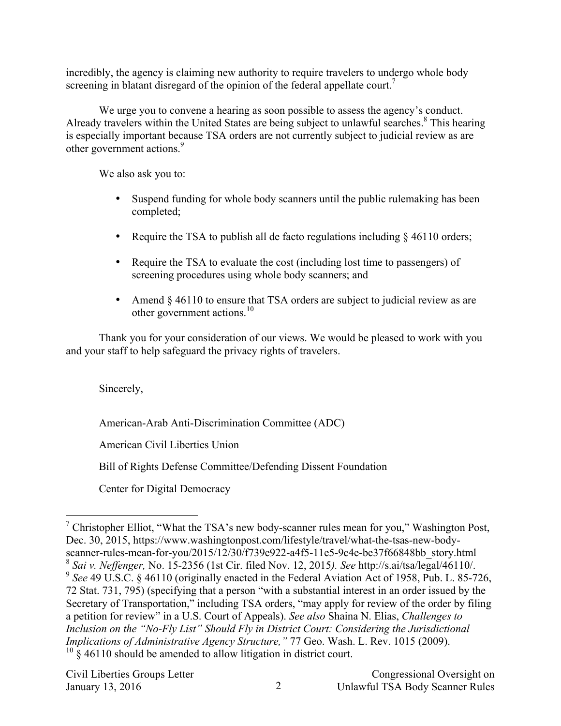incredibly, the agency is claiming new authority to require travelers to undergo whole body screening in blatant disregard of the opinion of the federal appellate court.<sup>7</sup>

We urge you to convene a hearing as soon possible to assess the agency's conduct. Already travelers within the United States are being subject to unlawful searches.<sup>8</sup> This hearing is especially important because TSA orders are not currently subject to judicial review as are other government actions.<sup>9</sup>

We also ask you to:

- Suspend funding for whole body scanners until the public rulemaking has been completed;
- Require the TSA to publish all de facto regulations including § 46110 orders;
- Require the TSA to evaluate the cost (including lost time to passengers) of screening procedures using whole body scanners; and
- Amend § 46110 to ensure that TSA orders are subject to judicial review as are other government actions.<sup>10</sup>

Thank you for your consideration of our views. We would be pleased to work with you and your staff to help safeguard the privacy rights of travelers.

Sincerely,

American-Arab Anti-Discrimination Committee (ADC)

American Civil Liberties Union

Bill of Rights Defense Committee/Defending Dissent Foundation

Center for Digital Democracy

<sup>&</sup>lt;sup>7</sup> Christopher Elliot, "What the TSA's new body-scanner rules mean for you," Washington Post, Dec. 30, 2015, https://www.washingtonpost.com/lifestyle/travel/what-the-tsas-new-bodyscanner-rules-mean-for-you/2015/12/30/f739e922-a4f5-11e5-9c4e-be37f66848bb\_story.html <sup>8</sup> *Sai v. Neffenger,* No. 15-2356 (1st Cir. filed Nov. 12, 2015*). See* http://s.ai/tsa/legal/46110/. <sup>9</sup> See 49 U.S.C. § 46110 (originally enacted in the Federal Aviation Act of 1958, Pub. L. 85-726, 72 Stat. 731, 795) (specifying that a person "with a substantial interest in an order issued by the Secretary of Transportation," including TSA orders, "may apply for review of the order by filing a petition for review" in a U.S. Court of Appeals). *See also* Shaina N. Elias, *Challenges to Inclusion on the "No-Fly List" Should Fly in District Court: Considering the Jurisdictional Implications of Administrative Agency Structure,"* 77 Geo. Wash. L. Rev. 1015 (2009).  $10\frac{1}{8}$  46110 should be amended to allow litigation in district court.